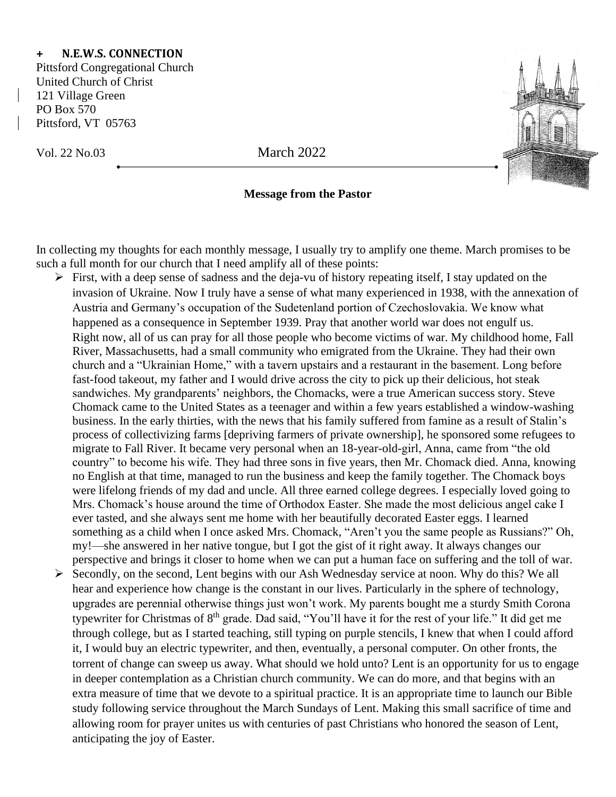## **+ N.E.W.S. CONNECTION**

Pittsford Congregational Church United Church of Christ 121 Village Green PO Box 570 Pittsford, VT 05763

Vol. 22 No.03 March 2022

## **Message from the Pastor**

In collecting my thoughts for each monthly message, I usually try to amplify one theme. March promises to be such a full month for our church that I need amplify all of these points:

- ➢ First, with a deep sense of sadness and the deja-vu of history repeating itself, I stay updated on the invasion of Ukraine. Now I truly have a sense of what many experienced in 1938, with the annexation of Austria and Germany's occupation of the Sudetenland portion of Czechoslovakia. We know what happened as a consequence in September 1939. Pray that another world war does not engulf us. Right now, all of us can pray for all those people who become victims of war. My childhood home, Fall River, Massachusetts, had a small community who emigrated from the Ukraine. They had their own church and a "Ukrainian Home," with a tavern upstairs and a restaurant in the basement. Long before fast-food takeout, my father and I would drive across the city to pick up their delicious, hot steak sandwiches. My grandparents' neighbors, the Chomacks, were a true American success story. Steve Chomack came to the United States as a teenager and within a few years established a window-washing business. In the early thirties, with the news that his family suffered from famine as a result of Stalin's process of collectivizing farms [depriving farmers of private ownership], he sponsored some refugees to migrate to Fall River. It became very personal when an 18-year-old-girl, Anna, came from "the old country" to become his wife. They had three sons in five years, then Mr. Chomack died. Anna, knowing no English at that time, managed to run the business and keep the family together. The Chomack boys were lifelong friends of my dad and uncle. All three earned college degrees. I especially loved going to Mrs. Chomack's house around the time of Orthodox Easter. She made the most delicious angel cake I ever tasted, and she always sent me home with her beautifully decorated Easter eggs. I learned something as a child when I once asked Mrs. Chomack, "Aren't you the same people as Russians?" Oh, my!—she answered in her native tongue, but I got the gist of it right away. It always changes our perspective and brings it closer to home when we can put a human face on suffering and the toll of war. ➢ Secondly, on the second, Lent begins with our Ash Wednesday service at noon. Why do this? We all hear and experience how change is the constant in our lives. Particularly in the sphere of technology, upgrades are perennial otherwise things just won't work. My parents bought me a sturdy Smith Corona typewriter for Christmas of 8<sup>th</sup> grade. Dad said, "You'll have it for the rest of your life." It did get me through college, but as I started teaching, still typing on purple stencils, I knew that when I could afford it, I would buy an electric typewriter, and then, eventually, a personal computer. On other fronts, the torrent of change can sweep us away. What should we hold unto? Lent is an opportunity for us to engage in deeper contemplation as a Christian church community. We can do more, and that begins with an
	- extra measure of time that we devote to a spiritual practice. It is an appropriate time to launch our Bible study following service throughout the March Sundays of Lent. Making this small sacrifice of time and allowing room for prayer unites us with centuries of past Christians who honored the season of Lent, anticipating the joy of Easter.